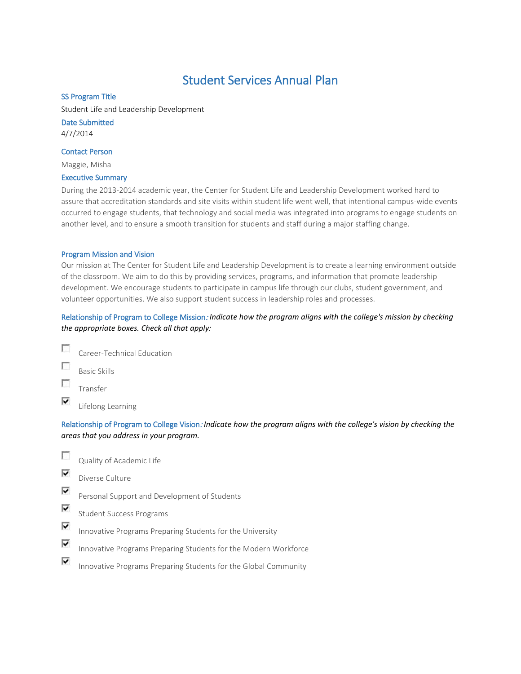# Student Services Annual Plan

# SS Program Title

Student Life and Leadership Development

Date Submitted 4/7/2014

# Contact Person

Maggie, Misha

# Executive Summary

During the 2013-2014 academic year, the Center for Student Life and Leadership Development worked hard to assure that accreditation standards and site visits within student life went well, that intentional campus-wide events occurred to engage students, that technology and social media was integrated into programs to engage students on another level, and to ensure a smooth transition for students and staff during a major staffing change.

## Program Mission and Vision

Our mission at The Center for Student Life and Leadership Development is to create a learning environment outside of the classroom. We aim to do this by providing services, programs, and information that promote leadership development. We encourage students to participate in campus life through our clubs, student government, and volunteer opportunities. We also support student success in leadership roles and processes.

# Relationship of Program to College Mission: *Indicate how the program aligns with the college's mission by checking the appropriate boxes. Check all that apply:*

- п Career-Technical Education
- г Basic Skills
- П Transfer

п

⊽

⊽

⊽ ⊽

⊽

⊽ Lifelong Learning

# Relationship of Program to College Vision: *Indicate how the program aligns with the college's vision by checking the areas that you address in your program.*

- Quality of Academic Life Diverse Culture Personal Support and Development of Students Student Success Programs Innovative Programs Preparing Students for the University Innovative Programs Preparing Students for the Modern Workforce
- ⊽ Innovative Programs Preparing Students for the Global Community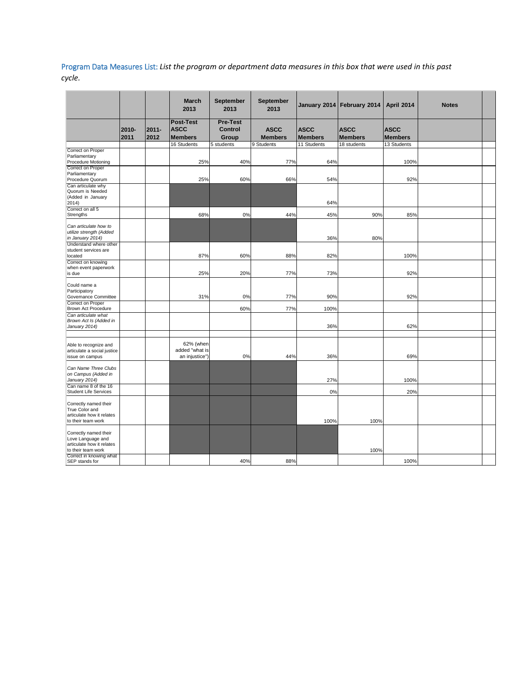Program Data Measures List: *List the program or department data measures in this box that were used in this past cycle.*

|                                                                                               |               |                  | <b>March</b><br>2013                              | September<br>2013                          | September<br>2013             |                               | January 2014 February 2014    | April 2014                    | <b>Notes</b> |  |
|-----------------------------------------------------------------------------------------------|---------------|------------------|---------------------------------------------------|--------------------------------------------|-------------------------------|-------------------------------|-------------------------------|-------------------------------|--------------|--|
|                                                                                               | 2010-<br>2011 | $2011 -$<br>2012 | <b>Post-Test</b><br><b>ASCC</b><br><b>Members</b> | <b>Pre-Test</b><br><b>Control</b><br>Group | <b>ASCC</b><br><b>Members</b> | <b>ASCC</b><br><b>Members</b> | <b>ASCC</b><br><b>Members</b> | <b>ASCC</b><br><b>Members</b> |              |  |
|                                                                                               |               |                  | 16 Students                                       | 5 students                                 | 9 Students                    | 11 Students                   | 18 students                   | 13 Students                   |              |  |
| Correct on Proper<br>Parliamentary<br>Procedure Motioning                                     |               |                  | 25%                                               | 40%                                        | 77%                           | 64%                           |                               | 100%                          |              |  |
| Correct on Proper<br>Parliamentary<br>Procedure Quorum                                        |               |                  | 25%                                               | 60%                                        | 66%                           | 54%                           |                               | 92%                           |              |  |
| Can articulate why<br>Quorum is Needed<br>(Added in January<br>2014)                          |               |                  |                                                   |                                            |                               | 64%                           |                               |                               |              |  |
| Correct on all 5<br>Strengths                                                                 |               |                  | 68%                                               | 0%                                         | 44%                           | 45%                           | 90%                           | 85%                           |              |  |
| Can articulate how to<br>utilize strength (Added<br>in January 2014)                          |               |                  |                                                   |                                            |                               | 36%                           | 80%                           |                               |              |  |
| Understand where other<br>student services are<br>located                                     |               |                  | 87%                                               | 60%                                        | 88%                           | 82%                           |                               | 100%                          |              |  |
| Correct on knowing<br>when event paperwork<br>is due                                          |               |                  | 25%                                               | 20%                                        | 77%                           | 73%                           |                               | 92%                           |              |  |
| Could name a<br>Participatory<br>Governance Committee                                         |               |                  | 31%                                               | 0%                                         | 77%                           | 90%                           |                               | 92%                           |              |  |
| Correct on Proper<br>Brown Act Procedure                                                      |               |                  |                                                   | 60%                                        | 77%                           | 100%                          |                               |                               |              |  |
| Can articulate what<br>Brown Act Is (Added in<br>January 2014)                                |               |                  |                                                   |                                            |                               | 36%                           |                               | 62%                           |              |  |
| Able to recognize and<br>articulate a social justice<br>issue on campus                       |               |                  | 62% (when<br>added "what is<br>an injustice")     | 0%                                         | 44%                           | 36%                           |                               | 69%                           |              |  |
| Can Name Three Clubs<br>on Campus (Added in<br>January 2014)                                  |               |                  |                                                   |                                            |                               | 27%                           |                               | 100%                          |              |  |
| Can name 8 of the 16<br><b>Student Life Services</b>                                          |               |                  |                                                   |                                            |                               | 0%                            |                               | 20%                           |              |  |
| Correctly named their<br>True Color and<br>articulate how it relates<br>to their team work    |               |                  |                                                   |                                            |                               | 100%                          | 100%                          |                               |              |  |
| Correctly named their<br>Love Language and<br>articulate how it relates<br>to their team work |               |                  |                                                   |                                            |                               |                               | 100%                          |                               |              |  |
| Correct in knowing what<br>SEP stands for                                                     |               |                  |                                                   | 40%                                        | 88%                           |                               |                               | 100%                          |              |  |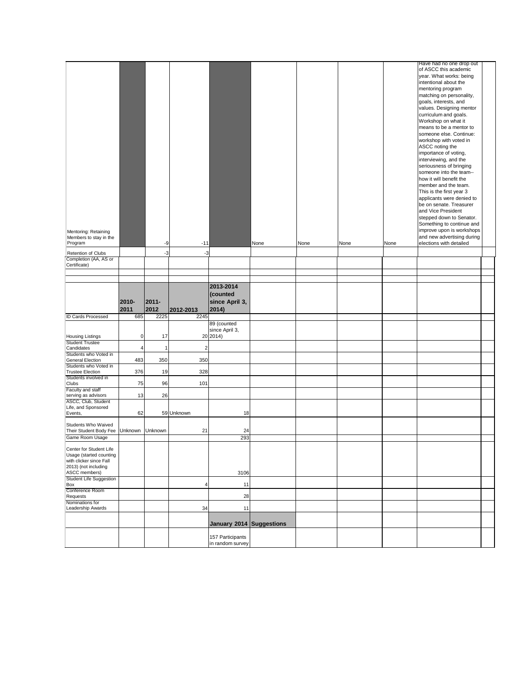|                                             |       |          |                         |                          |      |      |      |      | Have had no one drop out   |  |
|---------------------------------------------|-------|----------|-------------------------|--------------------------|------|------|------|------|----------------------------|--|
|                                             |       |          |                         |                          |      |      |      |      | of ASCC this academic      |  |
|                                             |       |          |                         |                          |      |      |      |      | year. What works: being    |  |
|                                             |       |          |                         |                          |      |      |      |      | intentional about the      |  |
|                                             |       |          |                         |                          |      |      |      |      | mentoring program          |  |
|                                             |       |          |                         |                          |      |      |      |      | matching on personality,   |  |
|                                             |       |          |                         |                          |      |      |      |      | goals, interests, and      |  |
|                                             |       |          |                         |                          |      |      |      |      | values. Designing mentor   |  |
|                                             |       |          |                         |                          |      |      |      |      | curriculum and goals.      |  |
|                                             |       |          |                         |                          |      |      |      |      | Workshop on what it        |  |
|                                             |       |          |                         |                          |      |      |      |      | means to be a mentor to    |  |
|                                             |       |          |                         |                          |      |      |      |      | someone else. Continue:    |  |
|                                             |       |          |                         |                          |      |      |      |      | workshop with voted in     |  |
|                                             |       |          |                         |                          |      |      |      |      | ASCC noting the            |  |
|                                             |       |          |                         |                          |      |      |      |      | importance of voting,      |  |
|                                             |       |          |                         |                          |      |      |      |      | interviewing, and the      |  |
|                                             |       |          |                         |                          |      |      |      |      | seriousness of bringing    |  |
|                                             |       |          |                         |                          |      |      |      |      | someone into the team--    |  |
|                                             |       |          |                         |                          |      |      |      |      | how it will benefit the    |  |
|                                             |       |          |                         |                          |      |      |      |      | member and the team.       |  |
|                                             |       |          |                         |                          |      |      |      |      | This is the first year 3   |  |
|                                             |       |          |                         |                          |      |      |      |      | applicants were denied to  |  |
|                                             |       |          |                         |                          |      |      |      |      | be on senate. Treasurer    |  |
|                                             |       |          |                         |                          |      |      |      |      | and Vice President         |  |
|                                             |       |          |                         |                          |      |      |      |      | stepped down to Senator.   |  |
|                                             |       |          |                         |                          |      |      |      |      | Something to continue and  |  |
|                                             |       |          |                         |                          |      |      |      |      | improve upon is workshops  |  |
| Mentoring: Retaining                        |       |          |                         |                          |      |      |      |      | and new advertising during |  |
| Members to stay in the<br>Program           |       | -9       | $-11$                   |                          | None | None | None | None | elections with detailed    |  |
|                                             |       |          |                         |                          |      |      |      |      |                            |  |
| Retention of Clubs<br>Completion (AA, AS or |       | -3       | $-3$                    |                          |      |      |      |      |                            |  |
| Certificate)                                |       |          |                         |                          |      |      |      |      |                            |  |
|                                             |       |          |                         |                          |      |      |      |      |                            |  |
|                                             |       |          |                         |                          |      |      |      |      |                            |  |
|                                             |       |          |                         | 2013-2014                |      |      |      |      |                            |  |
|                                             |       |          |                         | (counted                 |      |      |      |      |                            |  |
|                                             | 2010- | $2011 -$ |                         | since April 3,           |      |      |      |      |                            |  |
|                                             |       |          |                         |                          |      |      |      |      |                            |  |
|                                             |       |          |                         |                          |      |      |      |      |                            |  |
|                                             | 2011  | 2012     | 2012-2013               | 2014)                    |      |      |      |      |                            |  |
| <b>ID Cards Processed</b>                   | 685   | 2225     | 2245                    |                          |      |      |      |      |                            |  |
|                                             |       |          |                         | 89 (counted              |      |      |      |      |                            |  |
|                                             |       |          |                         | since April 3,           |      |      |      |      |                            |  |
| <b>Housing Listings</b>                     | 0     | 17       |                         | 20 2014)                 |      |      |      |      |                            |  |
| <b>Student Trustee</b>                      | 4     |          |                         |                          |      |      |      |      |                            |  |
| Candidates<br>Students who Voted in         |       | 1        | $\overline{\mathbf{c}}$ |                          |      |      |      |      |                            |  |
| General Election                            | 483   | 350      | 350                     |                          |      |      |      |      |                            |  |
| Students who Voted in                       |       |          |                         |                          |      |      |      |      |                            |  |
| <b>Trustee Election</b>                     | 376   | 19       | 328                     |                          |      |      |      |      |                            |  |
| Students involved in                        |       |          |                         |                          |      |      |      |      |                            |  |
| Clubs<br>Faculty and staff                  | 75    | 96       | 101                     |                          |      |      |      |      |                            |  |
| serving as advisors                         | 13    | 26       |                         |                          |      |      |      |      |                            |  |
| ASCC, Club, Student                         |       |          |                         |                          |      |      |      |      |                            |  |
| Life, and Sponsored                         |       |          |                         |                          |      |      |      |      |                            |  |
| Events,                                     | 62    |          | 59 Unknown              | 18                       |      |      |      |      |                            |  |
|                                             |       |          |                         |                          |      |      |      |      |                            |  |
| Students Who Waived                         |       |          |                         |                          |      |      |      |      |                            |  |
| Their Student Body Fee Unknown              |       | Unknown  | 21                      | 24                       |      |      |      |      |                            |  |
| Game Room Usage                             |       |          |                         | 293                      |      |      |      |      |                            |  |
| Center for Student Life                     |       |          |                         |                          |      |      |      |      |                            |  |
| Usage (started counting                     |       |          |                         |                          |      |      |      |      |                            |  |
| with clicker since Fall                     |       |          |                         |                          |      |      |      |      |                            |  |
| 2013) (not including                        |       |          |                         |                          |      |      |      |      |                            |  |
| ASCC members)                               |       |          |                         | 3106                     |      |      |      |      |                            |  |
| <b>Student Life Suggestion</b>              |       |          |                         |                          |      |      |      |      |                            |  |
| Box                                         |       |          | 4                       | 11                       |      |      |      |      |                            |  |
| Conference Room<br>Requests                 |       |          |                         | 28                       |      |      |      |      |                            |  |
| Nominations for                             |       |          |                         |                          |      |      |      |      |                            |  |
| Leadership Awards                           |       |          | 34                      | 11                       |      |      |      |      |                            |  |
|                                             |       |          |                         |                          |      |      |      |      |                            |  |
|                                             |       |          |                         | January 2014 Suggestions |      |      |      |      |                            |  |
|                                             |       |          |                         | 157 Participants         |      |      |      |      |                            |  |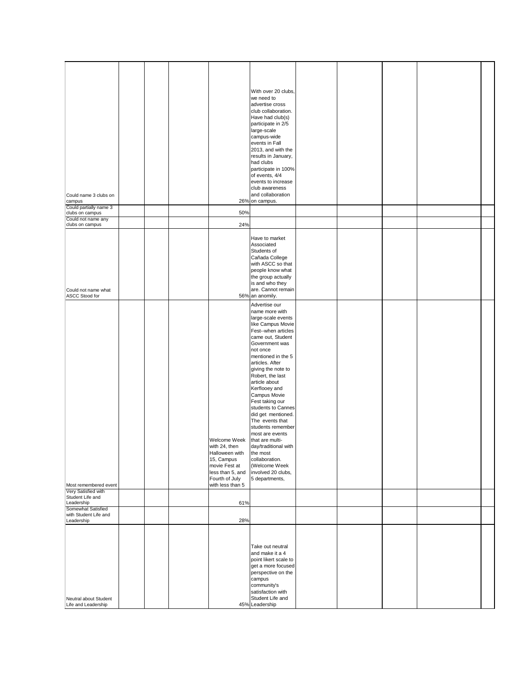|                        |  |                  | With over 20 clubs,   |  |  |  |
|------------------------|--|------------------|-----------------------|--|--|--|
|                        |  |                  | we need to            |  |  |  |
|                        |  |                  | advertise cross       |  |  |  |
|                        |  |                  | club collaboration.   |  |  |  |
|                        |  |                  |                       |  |  |  |
|                        |  |                  | Have had club(s)      |  |  |  |
|                        |  |                  | participate in 2/5    |  |  |  |
|                        |  |                  | large-scale           |  |  |  |
|                        |  |                  | campus-wide           |  |  |  |
|                        |  |                  |                       |  |  |  |
|                        |  |                  | events in Fall        |  |  |  |
|                        |  |                  | 2013, and with the    |  |  |  |
|                        |  |                  | results in January,   |  |  |  |
|                        |  |                  | had clubs             |  |  |  |
|                        |  |                  |                       |  |  |  |
|                        |  |                  | participate in 100%   |  |  |  |
|                        |  |                  | of events, 4/4        |  |  |  |
|                        |  |                  | events to increase    |  |  |  |
|                        |  |                  | club awareness        |  |  |  |
|                        |  |                  | and collaboration     |  |  |  |
| Could name 3 clubs on  |  |                  |                       |  |  |  |
| campus                 |  |                  | 26% on campus.        |  |  |  |
| Could partially name 3 |  |                  |                       |  |  |  |
| clubs on campus        |  | 50%              |                       |  |  |  |
| Could not name any     |  |                  |                       |  |  |  |
| clubs on campus        |  | 24%              |                       |  |  |  |
|                        |  |                  |                       |  |  |  |
|                        |  |                  |                       |  |  |  |
|                        |  |                  | Have to market        |  |  |  |
|                        |  |                  | Associated            |  |  |  |
|                        |  |                  | Students of           |  |  |  |
|                        |  |                  | Cañada College        |  |  |  |
|                        |  |                  |                       |  |  |  |
|                        |  |                  | with ASCC so that     |  |  |  |
|                        |  |                  | people know what      |  |  |  |
|                        |  |                  | the group actually    |  |  |  |
|                        |  |                  | is and who they       |  |  |  |
|                        |  |                  |                       |  |  |  |
| Could not name what    |  |                  | are. Cannot remain    |  |  |  |
| ASCC Stood for         |  |                  | 56% an anomily.       |  |  |  |
|                        |  |                  |                       |  |  |  |
|                        |  |                  | Advertise our         |  |  |  |
|                        |  |                  | name more with        |  |  |  |
|                        |  |                  | large-scale events    |  |  |  |
|                        |  |                  | like Campus Movie     |  |  |  |
|                        |  |                  |                       |  |  |  |
|                        |  |                  | Fest--when articles   |  |  |  |
|                        |  |                  | came out, Student     |  |  |  |
|                        |  |                  | Government was        |  |  |  |
|                        |  |                  | not once              |  |  |  |
|                        |  |                  |                       |  |  |  |
|                        |  |                  | mentioned in the 5    |  |  |  |
|                        |  |                  | articles. After       |  |  |  |
|                        |  |                  | giving the note to    |  |  |  |
|                        |  |                  | Robert, the last      |  |  |  |
|                        |  |                  | article about         |  |  |  |
|                        |  |                  |                       |  |  |  |
|                        |  |                  | Kerflooey and         |  |  |  |
|                        |  |                  | Campus Movie          |  |  |  |
|                        |  |                  | Fest taking our       |  |  |  |
|                        |  |                  | students to Cannes    |  |  |  |
|                        |  |                  |                       |  |  |  |
|                        |  |                  | did get mentioned.    |  |  |  |
|                        |  |                  | The events that       |  |  |  |
|                        |  |                  | students remember     |  |  |  |
|                        |  |                  | most are events       |  |  |  |
|                        |  |                  |                       |  |  |  |
|                        |  | Welcome Week     | that are multi-       |  |  |  |
|                        |  | with 24, then    | day/traditional with  |  |  |  |
|                        |  | Halloween with   | the most              |  |  |  |
|                        |  | 15, Campus       | collaboration.        |  |  |  |
|                        |  | movie Fest at    | (Welcome Week         |  |  |  |
|                        |  |                  | involved 20 clubs,    |  |  |  |
|                        |  | less than 5, and |                       |  |  |  |
|                        |  | Fourth of July   | 5 departments,        |  |  |  |
| Most remembered event  |  | with less than 5 |                       |  |  |  |
| Very Satisfied with    |  |                  |                       |  |  |  |
| Student Life and       |  |                  |                       |  |  |  |
| Leadership             |  | 61%              |                       |  |  |  |
| Somewhat Satisfied     |  |                  |                       |  |  |  |
| with Student Life and  |  |                  |                       |  |  |  |
|                        |  |                  |                       |  |  |  |
| Leadership             |  | 28%              |                       |  |  |  |
|                        |  |                  |                       |  |  |  |
|                        |  |                  |                       |  |  |  |
|                        |  |                  |                       |  |  |  |
|                        |  |                  |                       |  |  |  |
|                        |  |                  | Take out neutral      |  |  |  |
|                        |  |                  | and make it a 4       |  |  |  |
|                        |  |                  | point likert scale to |  |  |  |
|                        |  |                  | get a more focused    |  |  |  |
|                        |  |                  |                       |  |  |  |
|                        |  |                  | perspective on the    |  |  |  |
|                        |  |                  | campus                |  |  |  |
|                        |  |                  | community's           |  |  |  |
|                        |  |                  | satisfaction with     |  |  |  |
|                        |  |                  |                       |  |  |  |
| Neutral about Student  |  |                  | Student Life and      |  |  |  |
| Life and Leadership    |  |                  | 45% Leadership        |  |  |  |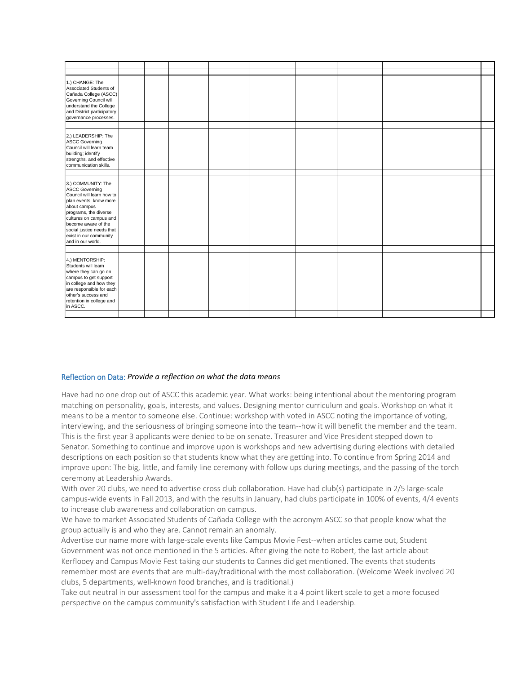| 1.) CHANGE: The<br>Associated Students of<br>Cañada College (ASCC)<br>Governing Council will<br>understand the College<br>and District participatory<br>governance processes.                                                                                            |  |  |  |  |  |
|--------------------------------------------------------------------------------------------------------------------------------------------------------------------------------------------------------------------------------------------------------------------------|--|--|--|--|--|
| 2.) LEADERSHIP: The<br><b>ASCC Governing</b><br>Council will learn team<br>building; identify<br>strengths, and effective<br>communication skills.                                                                                                                       |  |  |  |  |  |
| 3.) COMMUNITY: The<br><b>ASCC Governing</b><br>Council will learn how to<br>plan events, know more<br>about campus<br>programs, the diverse<br>cultures on campus and<br>become aware of the<br>social justice needs that<br>exist in our community<br>and in our world. |  |  |  |  |  |
| 4.) MENTORSHIP:<br>Students will learn<br>where they can go on<br>campus to get support<br>in college and how they<br>are responsible for each<br>other's success and<br>retention in college and<br>in ASCC.                                                            |  |  |  |  |  |

#### Reflection on Data: *Provide a reflection on what the data means*

Have had no one drop out of ASCC this academic year. What works: being intentional about the mentoring program matching on personality, goals, interests, and values. Designing mentor curriculum and goals. Workshop on what it means to be a mentor to someone else. Continue: workshop with voted in ASCC noting the importance of voting, interviewing, and the seriousness of bringing someone into the team--how it will benefit the member and the team. This is the first year 3 applicants were denied to be on senate. Treasurer and Vice President stepped down to Senator. Something to continue and improve upon is workshops and new advertising during elections with detailed descriptions on each position so that students know what they are getting into. To continue from Spring 2014 and improve upon: The big, little, and family line ceremony with follow ups during meetings, and the passing of the torch ceremony at Leadership Awards.

With over 20 clubs, we need to advertise cross club collaboration. Have had club(s) participate in 2/5 large-scale campus-wide events in Fall 2013, and with the results in January, had clubs participate in 100% of events, 4/4 events to increase club awareness and collaboration on campus.

We have to market Associated Students of Cañada College with the acronym ASCC so that people know what the group actually is and who they are. Cannot remain an anomaly.

Advertise our name more with large-scale events like Campus Movie Fest--when articles came out, Student Government was not once mentioned in the 5 articles. After giving the note to Robert, the last article about Kerflooey and Campus Movie Fest taking our students to Cannes did get mentioned. The events that students remember most are events that are multi-day/traditional with the most collaboration. (Welcome Week involved 20 clubs, 5 departments, well-known food branches, and is traditional.)

Take out neutral in our assessment tool for the campus and make it a 4 point likert scale to get a more focused perspective on the campus community's satisfaction with Student Life and Leadership.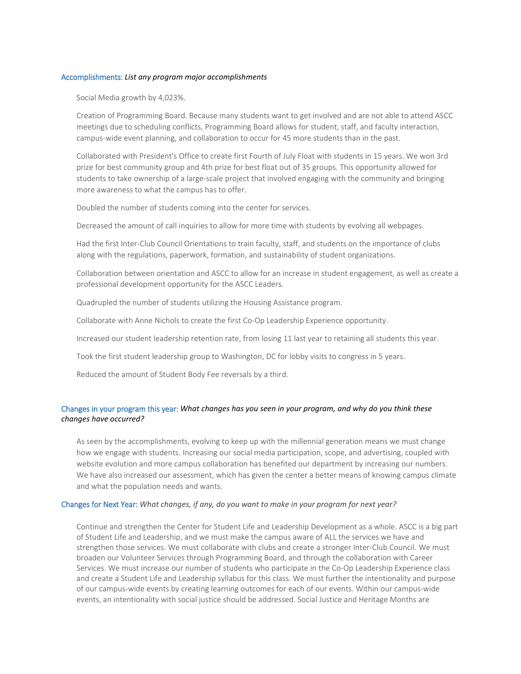#### Accomplishments: *List any program major accomplishments*

Social Media growth by 4,023%.

Creation of Programming Board. Because many students want to get involved and are not able to attend ASCC meetings due to scheduling conflicts, Programming Board allows for student, staff, and faculty interaction, campus-wide event planning, and collaboration to occur for 45 more students than in the past.

Collaborated with President's Office to create first Fourth of July Float with students in 15 years. We won 3rd prize for best community group and 4th prize for best float out of 35 groups. This opportunity allowed for students to take ownership of a large-scale project that involved engaging with the community and bringing more awareness to what the campus has to offer.

Doubled the number of students coming into the center for services.

Decreased the amount of call inquiries to allow for more time with students by evolving all webpages.

Had the first Inter-Club Council Orientations to train faculty, staff, and students on the importance of clubs along with the regulations, paperwork, formation, and sustainability of student organizations.

Collaboration between orientation and ASCC to allow for an increase in student engagement, as well as create a professional development opportunity for the ASCC Leaders.

Quadrupled the number of students utilizing the Housing Assistance program.

Collaborate with Anne Nichols to create the first Co-Op Leadership Experience opportunity.

Increased our student leadership retention rate, from losing 11 last year to retaining all students this year.

Took the first student leadership group to Washington, DC for lobby visits to congress in 5 years.

Reduced the amount of Student Body Fee reversals by a third.

# Changes in your program this year: *What changes has you seen in your program, and why do you think these changes have occurred?*

As seen by the accomplishments, evolving to keep up with the millennial generation means we must change how we engage with students. Increasing our social media participation, scope, and advertising, coupled with website evolution and more campus collaboration has benefited our department by increasing our numbers. We have also increased our assessment, which has given the center a better means of knowing campus climate and what the population needs and wants.

## Changes for Next Year: *What changes, if any, do you want to make in your program for next year?*

Continue and strengthen the Center for Student Life and Leadership Development as a whole. ASCC is a big part of Student Life and Leadership, and we must make the campus aware of ALL the services we have and strengthen those services. We must collaborate with clubs and create a stronger Inter-Club Council. We must broaden our Volunteer Services through Programming Board, and through the collaboration with Career Services. We must increase our number of students who participate in the Co-Op Leadership Experience class and create a Student Life and Leadership syllabus for this class. We must further the intentionality and purpose of our campus-wide events by creating learning outcomes for each of our events. Within our campus-wide events, an intentionality with social justice should be addressed. Social Justice and Heritage Months are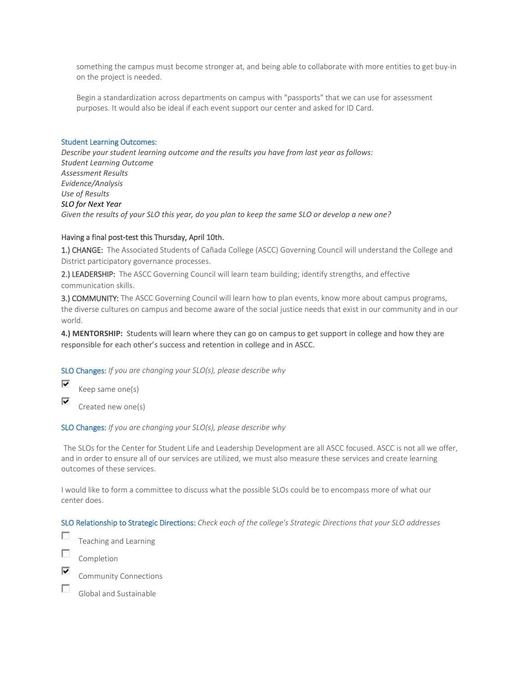something the campus must become stronger at, and being able to collaborate with more entities to get buy-in on the project is needed.

Begin a standardization across departments on campus with "passports" that we can use for assessment purposes. It would also be ideal if each event support our center and asked for ID Card.

#### Student Learning Outcomes:

*Describe your student learning outcome and the results you have from last year as follows: Student Learning Outcome Assessment Results Evidence/Analysis Use of Results SLO for Next Year Given the results of your SLO this year, do you plan to keep the same SLO or develop a new one?*

# Having a final post-test this Thursday, April 10th.

1.) CHANGE: The Associated Students of Cañada College (ASCC) Governing Council will understand the College and District participatory governance processes.

2.) LEADERSHIP: The ASCC Governing Council will learn team building; identify strengths, and effective communication skills.

3.) COMMUNITY: The ASCC Governing Council will learn how to plan events, know more about campus programs, the diverse cultures on campus and become aware of the social justice needs that exist in our community and in our world.

**4.) MENTORSHIP:** Students will learn where they can go on campus to get support in college and how they are responsible for each other's success and retention in college and in ASCC.

SLO Changes: *If you are changing your SLO(s), please describe why*

⊽ Keep same one(s)

⊽ Created new one(s)

SLO Changes: *If you are changing your SLO(s), please describe why*

The SLOs for the Center for Student Life and Leadership Development are all ASCC focused. ASCC is not all we offer, and in order to ensure all of our services are utilized, we must also measure these services and create learning outcomes of these services.

I would like to form a committee to discuss what the possible SLOs could be to encompass more of what our center does.

SLO Relationship to Strategic Directions: *Check each of the college's Strategic Directions that your SLO addresses*

 $\overline{a}$ Teaching and Learning

T Completion

⊽ Community Connections

 $\sim$ Global and Sustainable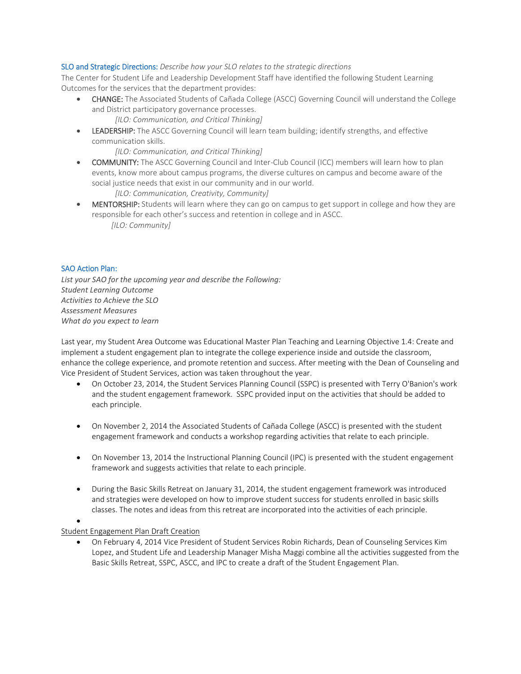# SLO and Strategic Directions: *Describe how your SLO relates to the strategic directions*

The Center for Student Life and Leadership Development Staff have identified the following Student Learning Outcomes for the services that the department provides:

- CHANGE: The Associated Students of Cañada College (ASCC) Governing Council will understand the College and District participatory governance processes.
	- *[ILO: Communication, and Critical Thinking]*
- LEADERSHIP: The ASCC Governing Council will learn team building; identify strengths, and effective communication skills.

*[ILO: Communication, and Critical Thinking]*

• COMMUNITY: The ASCC Governing Council and Inter-Club Council (ICC) members will learn how to plan events, know more about campus programs, the diverse cultures on campus and become aware of the social justice needs that exist in our community and in our world.

 *[ILO: Communication, Creativity, Community]*

**MENTORSHIP:** Students will learn where they can go on campus to get support in college and how they are responsible for each other's success and retention in college and in ASCC.  *[ILO: Community]*

#### SAO Action Plan:

*List your SAO for the upcoming year and describe the Following: Student Learning Outcome Activities to Achieve the SLO Assessment Measures What do you expect to learn*

Last year, my Student Area Outcome was Educational Master Plan Teaching and Learning Objective 1.4: Create and implement a student engagement plan to integrate the college experience inside and outside the classroom, enhance the college experience, and promote retention and success. After meeting with the Dean of Counseling and Vice President of Student Services, action was taken throughout the year.

- On October 23, 2014, the Student Services Planning Council (SSPC) is presented with Terry O'Banion's work and the student engagement framework. SSPC provided input on the activities that should be added to each principle.
- On November 2, 2014 the Associated Students of Cañada College (ASCC) is presented with the student engagement framework and conducts a workshop regarding activities that relate to each principle.
- On November 13, 2014 the Instructional Planning Council (IPC) is presented with the student engagement framework and suggests activities that relate to each principle.
- During the Basic Skills Retreat on January 31, 2014, the student engagement framework was introduced and strategies were developed on how to improve student success for students enrolled in basic skills classes. The notes and ideas from this retreat are incorporated into the activities of each principle.

•

#### Student Engagement Plan Draft Creation

• On February 4, 2014 Vice President of Student Services Robin Richards, Dean of Counseling Services Kim Lopez, and Student Life and Leadership Manager Misha Maggi combine all the activities suggested from the Basic Skills Retreat, SSPC, ASCC, and IPC to create a draft of the Student Engagement Plan.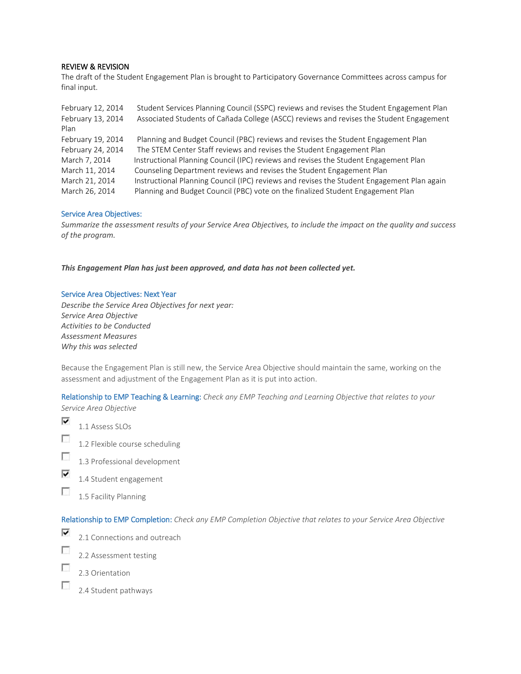# REVIEW & REVISION

The draft of the Student Engagement Plan is brought to Participatory Governance Committees across campus for final input.

| February 12, 2014<br>February 13, 2014<br>Plan | Student Services Planning Council (SSPC) reviews and revises the Student Engagement Plan<br>Associated Students of Cañada College (ASCC) reviews and revises the Student Engagement |
|------------------------------------------------|-------------------------------------------------------------------------------------------------------------------------------------------------------------------------------------|
| February 19, 2014                              | Planning and Budget Council (PBC) reviews and revises the Student Engagement Plan                                                                                                   |
| February 24, 2014                              | The STEM Center Staff reviews and revises the Student Engagement Plan                                                                                                               |
| March 7, 2014                                  | Instructional Planning Council (IPC) reviews and revises the Student Engagement Plan                                                                                                |
| March 11, 2014                                 | Counseling Department reviews and revises the Student Engagement Plan                                                                                                               |
| March 21, 2014                                 | Instructional Planning Council (IPC) reviews and revises the Student Engagement Plan again                                                                                          |
| March 26, 2014                                 | Planning and Budget Council (PBC) vote on the finalized Student Engagement Plan                                                                                                     |

#### Service Area Objectives:

*Summarize the assessment results of your Service Area Objectives, to include the impact on the quality and success of the program.*

*This Engagement Plan has just been approved, and data has not been collected yet.*

#### Service Area Objectives: Next Year

*Describe the Service Area Objectives for next year: Service Area Objective Activities to be Conducted Assessment Measures Why this was selected*

Because the Engagement Plan is still new, the Service Area Objective should maintain the same, working on the assessment and adjustment of the Engagement Plan as it is put into action.

Relationship to EMP Teaching & Learning: *Check any EMP Teaching and Learning Objective that relates to your* 

*Service Area Objective*



- 
- п 1.2 Flexible course scheduling
- $\overline{\mathcal{L}}$ 1.3 Professional development
- ⊽ 1.4 Student engagement
- $\sim$ 1.5 Facility Planning

Relationship to EMP Completion: *Check any EMP Completion Objective that relates to your Service Area Objective*

- ⊽ 2.1 Connections and outreach
- $\sim$ 2.2 Assessment testing
- $\sim$ 2.3 Orientation

 $\overline{\phantom{a}}$ 

2.4 Student pathways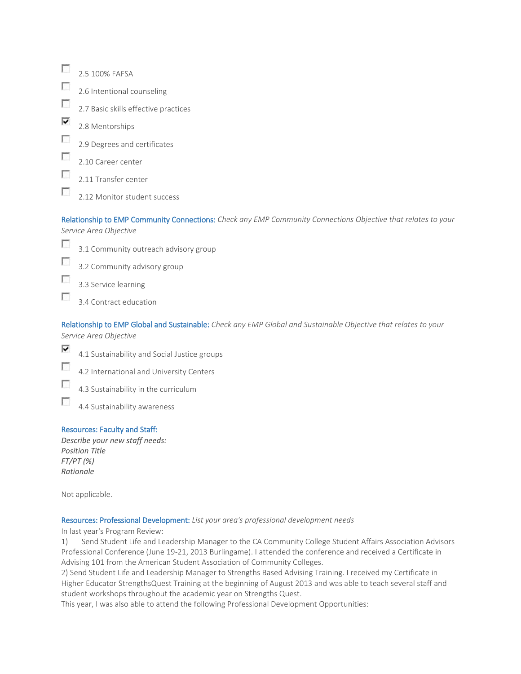|            | 2.5 100% FAFSA                       |
|------------|--------------------------------------|
| L.         | 2.6 Intentional counseling           |
| u          | 2.7 Basic skills effective practices |
| ⊽          | 2.8 Mentorships                      |
| г          | 2.9 Degrees and certificates         |
| <b>FRI</b> | 2.10 Career center                   |
|            | 2.11 Transfer center                 |
|            | 2.12 Monitor student success         |

Relationship to EMP Community Connections: *Check any EMP Community Connections Objective that relates to your Service Area Objective*

|    | 3.1 Community outreach advisory group |
|----|---------------------------------------|
| L. | 3.2 Community advisory group          |
|    |                                       |

3.3 Service learning

 $\overline{\mathcal{L}}$ 3.4 Contract education

Relationship to EMP Global and Sustainable: *Check any EMP Global and Sustainable Objective that relates to your Service Area Objective*

| ⊽ |                                              |  |
|---|----------------------------------------------|--|
|   | 4.1 Sustainability and Social Justice groups |  |



 $\overline{\phantom{a}}$ 4.3 Sustainability in the curriculum

 $\overline{\phantom{a}}$ 4.4 Sustainability awareness

# Resources: Faculty and Staff:

Not applicable.

# Resources: Professional Development: *List your area's professional development needs*

In last year's Program Review:

1) Send Student Life and Leadership Manager to the CA Community College Student Affairs Association Advisors Professional Conference (June 19-21, 2013 Burlingame). I attended the conference and received a Certificate in Advising 101 from the American Student Association of Community Colleges.

2) Send Student Life and Leadership Manager to Strengths Based Advising Training. I received my Certificate in Higher Educator StrengthsQuest Training at the beginning of August 2013 and was able to teach several staff and student workshops throughout the academic year on Strengths Quest.

This year, I was also able to attend the following Professional Development Opportunities: